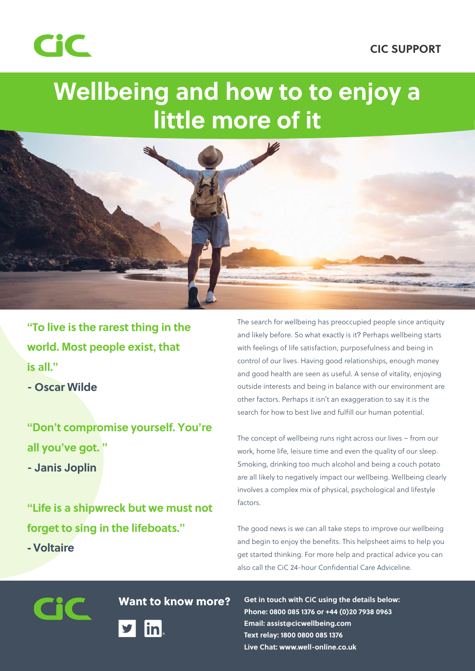### **CIC SUPPORT**



## **Wellbeing and how to to enjoy a little more of it**



**"To live is the rarest thing in the world. Most people exist, that is all."**

**- Oscar Wilde**

**"Don't compromise yourself. You're all you've got. "**

**- Janis Joplin**

**"Life is a shipwreck but we must not forget to sing in the lifeboats." - Voltaire** 

The search for wellbeing has preoccupied people since antiquity and likely before. So what exactly is it? Perhaps wellbeing starts with feelings of life satisfaction, purposefulness and being in control of our lives. Having good relationships, enough money and good health are seen as useful. A sense of vitality, enjoying outside interests and being in balance with our environment are other factors. Perhaps it isn't an exaggeration to say it is the search for how to best live and fulfill our human potential.

The concept of wellbeing runs right across our lives – from our work, home life, leisure time and even the quality of our sleep. Smoking, drinking too much alcohol and being a couch potato are all likely to negatively impact our wellbeing. Wellbeing clearly involves a complex mix of physical, psychological and lifestyle factors.

The good news is we can all take steps to improve our wellbeing and begin to enjoy the benefits. This helpsheet aims to help you get started thinking. For more help and practical advice you can also call the CiC 24-hour Confidential Care Adviceline.

Want to know more?



**Get in touch with CiC using the details below: Phone: 0800 085 1376 or +44 (0)20 7938 0963 Email: assist@cicwellbeing.com Text relay: 1800 0800 085 1376 Live Chat: www.well-online.co.uk**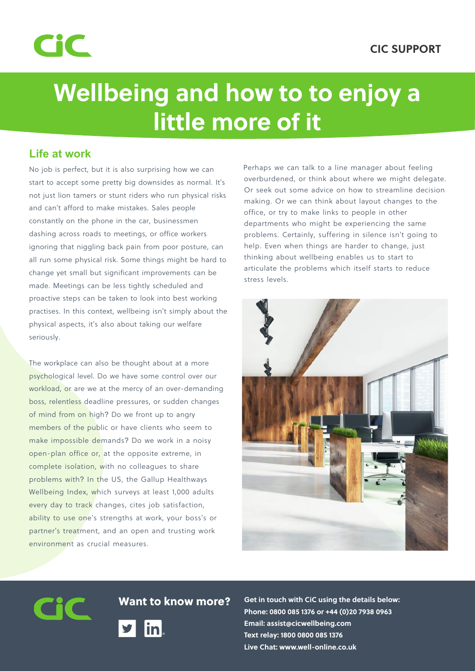

# **Wellbeing and how to to enjoy a little more of it**

## **Life at work**

No job is perfect, but it is also surprising how we can start to accept some pretty big downsides as normal. It's not just lion tamers or stunt riders who run physical risks and can't afford to make mistakes. Sales people constantly on the phone in the car, businessmen dashing across roads to meetings, or office workers ignoring that niggling back pain from poor posture, can all run some physical risk. Some things might be hard to change yet small but significant improvements can be made. Meetings can be less tightly scheduled and proactive steps can be taken to look into best working practises. In this context, wellbeing isn't simply about the physical aspects, it's also about taking our welfare seriously.

The workplace can also be thought about at a more psychological level. Do we have some control over our workload, or are we at the mercy of an over-demanding boss, relentless deadline pressures, or sudden changes of mind from on high? Do we front up to angry members of the public or have clients who seem to make impossible demands? Do we work in a noisy open-plan office or, at the opposite extreme, in complete isolation, with no colleagues to share problems with? In the US, the Gallup Healthways Wellbeing Index, which surveys at least 1,000 adults every day to track changes, cites job satisfaction, ability to use one's strengths at work, your boss's or partner's treatment, and an open and trusting work environment as crucial measures.

Perhaps we can talk to a line manager about feeling overburdened, or think about where we might delegate. Or seek out some advice on how to streamline decision making. Or we can think about layout changes to the office, or try to make links to people in other departments who might be experiencing the same problems. Certainly, suffering in silence isn't going to help. Even when things are harder to change, just thinking about wellbeing enables us to start to articulate the problems which itself starts to reduce stress levels.





Want to know more? **Get in touch with CiC using the details below: Phone: 0800 085 1376 or +44 (0)20 7938 0963 Email: assist@cicwellbeing.com Text relay: 1800 0800 085 1376 Live Chat: www.well-online.co.uk**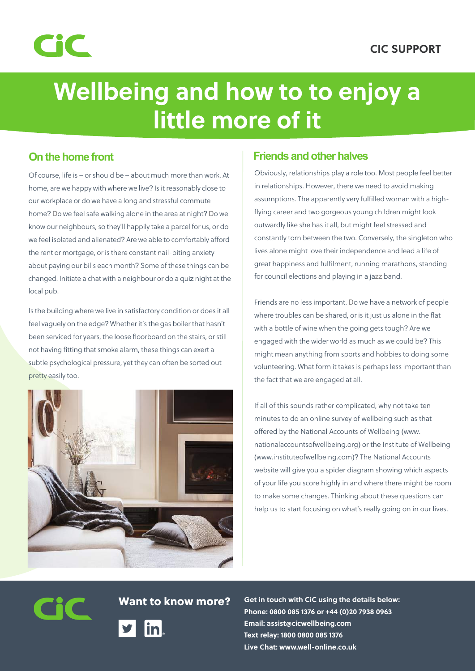



# **Wellbeing and how to to enjoy a little more of it**

### **On the home front**

Of course, life is – or should be – about much more than work. At home, are we happy with where we live? Is it reasonably close to our workplace or do we have a long and stressful commute home? Do we feel safe walking alone in the area at night? Do we know our neighbours, so they'll happily take a parcel for us, or do we feel isolated and alienated? Are we able to comfortably afford the rent or mortgage, or is there constant nail-biting anxiety about paying our bills each month? Some of these things can be changed. Initiate a chat with a neighbour or do a quiz night at the local pub.

Is the building where we live in satisfactory condition or does it all feel vaguely on the edge? Whether it's the gas boiler that hasn't been serviced for years, the loose floorboard on the stairs, or still not having fitting that smoke alarm, these things can exert a subtle psychological pressure, yet they can often be sorted out pretty easily too.



#### **Friends and other halves**

Obviously, relationships play a role too. Most people feel better in relationships. However, there we need to avoid making assumptions. The apparently very fulfilled woman with a highflying career and two gorgeous young children might look outwardly like she has it all, but might feel stressed and constantly torn between the two. Conversely, the singleton who lives alone might love their independence and lead a life of great happiness and fulfilment, running marathons, standing for council elections and playing in a jazz band.

Friends are no less important. Do we have a network of people where troubles can be shared, or is it just us alone in the flat with a bottle of wine when the going gets tough? Are we engaged with the wider world as much as we could be? This might mean anything from sports and hobbies to doing some volunteering. What form it takes is perhaps less important than the fact that we are engaged at all.

If all of this sounds rather complicated, why not take ten minutes to do an online survey of wellbeing such as that offered by the National Accounts of Wellbeing (www. nationalaccountsofwellbeing.org) or the Institute of Wellbeing (www.instituteofwellbeing.com)? The National Accounts website will give you a spider diagram showing which aspects of your life you score highly in and where there might be room to make some changes. Thinking about these questions can help us to start focusing on what's really going on in our lives.

Want to know more?



**Get in touch with CiC using the details below: Phone: 0800 085 1376 or +44 (0)20 7938 0963 Email: assist@cicwellbeing.com Text relay: 1800 0800 085 1376 Live Chat: www.well-online.co.uk**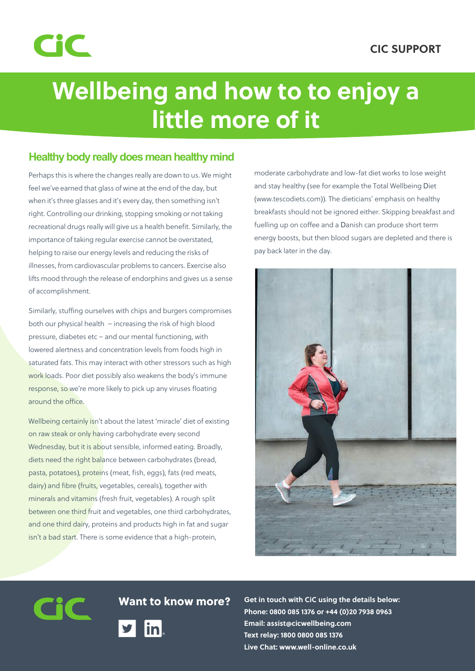### **CIC SUPPORT**



# **Wellbeing and how to to enjoy a little more of it**

### **Healthy body really does mean healthy mind**

Perhaps this is where the changes really are down to us. We might feel we've earned that glass of wine at the end of the day, but when it's three glasses and it's every day, then something isn't right. Controlling our drinking, stopping smoking or not taking recreational drugs really will give us a health benefit. Similarly, the importance of taking regular exercise cannot be overstated, helping to raise our energy levels and reducing the risks of illnesses, from cardiovascular problems to cancers. Exercise also lifts mood through the release of endorphins and gives us a sense of accomplishment.

Similarly, stuffing ourselves with chips and burgers compromises both our physical health – increasing the risk of high blood pressure, diabetes etc – and our mental functioning, with lowered alertness and concentration levels from foods high in saturated fats. This may interact with other stressors such as high work loads. Poor diet possibly also weakens the body's immune response, so we're more likely to pick up any viruses floating around the office.

Wellbeing certainly isn't about the latest 'miracle' diet of existing on raw steak or only having carbohydrate every second Wednesday, but it is about sensible, informed eating. Broadly, diets need the right balance between carbohydrates (bread, pasta, potatoes), proteins (meat, fish, eggs), fats (red meats, dairy) and fibre (fruits, vegetables, cereals), together with minerals and vitamins (fresh fruit, vegetables). A rough split between one third fruit and vegetables, one third carbohydrates, and one third dairy, proteins and products high in fat and sugar isn't a bad start. There is some evidence that a high-protein,

moderate carbohydrate and low-fat diet works to lose weight and stay healthy (see for example the Total Wellbeing Diet (www.tescodiets.com)). The dieticians' emphasis on healthy breakfasts should not be ignored either. Skipping breakfast and fuelling up on coffee and a Danish can produce short term energy boosts, but then blood sugars are depleted and there is pay back later in the day.





**Want to know more?** Get in touch with CiC using the details below: **Phone: 0800 085 1376 or +44 (0)20 7938 0963 Email: assist@cicwellbeing.com Text relay: 1800 0800 085 1376 Live Chat: www.well-online.co.uk**